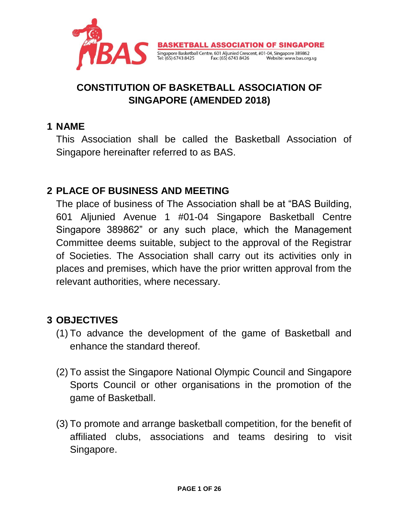

# **CONSTITUTION OF BASKETBALL ASSOCIATION OF SINGAPORE (AMENDED 2018)**

#### **1 NAME**

This Association shall be called the Basketball Association of Singapore hereinafter referred to as BAS.

## **2 PLACE OF BUSINESS AND MEETING**

The place of business of The Association shall be at "BAS Building, 601 Aljunied Avenue 1 #01-04 Singapore Basketball Centre Singapore 389862" or any such place, which the Management Committee deems suitable, subject to the approval of the Registrar of Societies. The Association shall carry out its activities only in places and premises, which have the prior written approval from the relevant authorities, where necessary.

## **3 OBJECTIVES**

- (1) To advance the development of the game of Basketball and enhance the standard thereof.
- (2) To assist the Singapore National Olympic Council and Singapore Sports Council or other organisations in the promotion of the game of Basketball.
- (3) To promote and arrange basketball competition, for the benefit of affiliated clubs, associations and teams desiring to visit Singapore.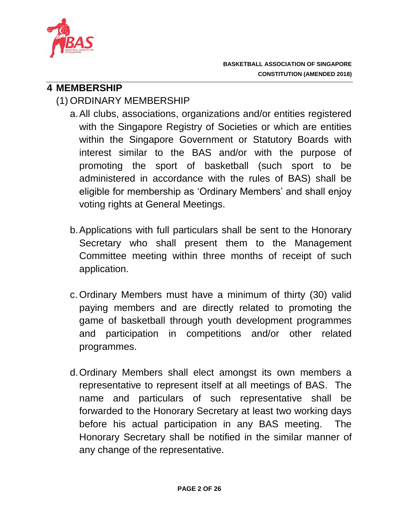

### **4 MEMBERSHIP**

# (1) ORDINARY MEMBERSHIP

- a.All clubs, associations, organizations and/or entities registered with the Singapore Registry of Societies or which are entities within the Singapore Government or Statutory Boards with interest similar to the BAS and/or with the purpose of promoting the sport of basketball (such sport to be administered in accordance with the rules of BAS) shall be eligible for membership as 'Ordinary Members' and shall enjoy voting rights at General Meetings.
- b.Applications with full particulars shall be sent to the Honorary Secretary who shall present them to the Management Committee meeting within three months of receipt of such application.
- c. Ordinary Members must have a minimum of thirty (30) valid paying members and are directly related to promoting the game of basketball through youth development programmes and participation in competitions and/or other related programmes.
- d.Ordinary Members shall elect amongst its own members a representative to represent itself at all meetings of BAS. The name and particulars of such representative shall be forwarded to the Honorary Secretary at least two working days before his actual participation in any BAS meeting. The Honorary Secretary shall be notified in the similar manner of any change of the representative.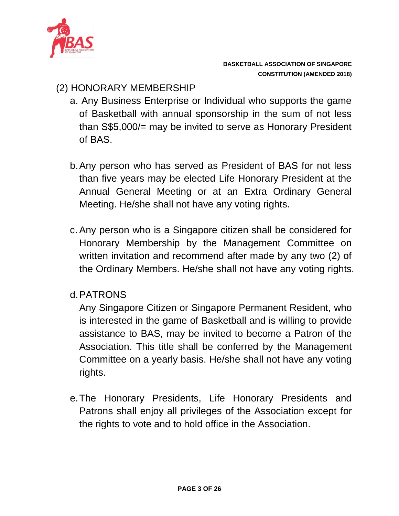

## (2) HONORARY MEMBERSHIP

- a. Any Business Enterprise or Individual who supports the game of Basketball with annual sponsorship in the sum of not less than S\$5,000/= may be invited to serve as Honorary President of BAS.
- b.Any person who has served as President of BAS for not less than five years may be elected Life Honorary President at the Annual General Meeting or at an Extra Ordinary General Meeting. He/she shall not have any voting rights.
- c. Any person who is a Singapore citizen shall be considered for Honorary Membership by the Management Committee on written invitation and recommend after made by any two (2) of the Ordinary Members. He/she shall not have any voting rights.

## d.PATRONS

Any Singapore Citizen or Singapore Permanent Resident, who is interested in the game of Basketball and is willing to provide assistance to BAS, may be invited to become a Patron of the Association. This title shall be conferred by the Management Committee on a yearly basis. He/she shall not have any voting rights.

e.The Honorary Presidents, Life Honorary Presidents and Patrons shall enjoy all privileges of the Association except for the rights to vote and to hold office in the Association.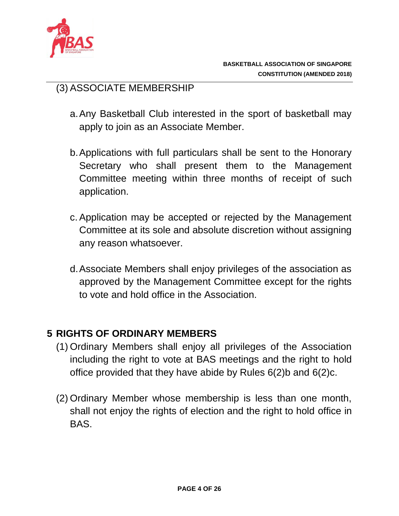

### (3) ASSOCIATE MEMBERSHIP

- a.Any Basketball Club interested in the sport of basketball may apply to join as an Associate Member.
- b.Applications with full particulars shall be sent to the Honorary Secretary who shall present them to the Management Committee meeting within three months of receipt of such application.
- c. Application may be accepted or rejected by the Management Committee at its sole and absolute discretion without assigning any reason whatsoever.
- d.Associate Members shall enjoy privileges of the association as approved by the Management Committee except for the rights to vote and hold office in the Association.

#### **5 RIGHTS OF ORDINARY MEMBERS**

- (1) Ordinary Members shall enjoy all privileges of the Association including the right to vote at BAS meetings and the right to hold office provided that they have abide by Rules 6(2)b and 6(2)c.
- (2) Ordinary Member whose membership is less than one month, shall not enjoy the rights of election and the right to hold office in BAS.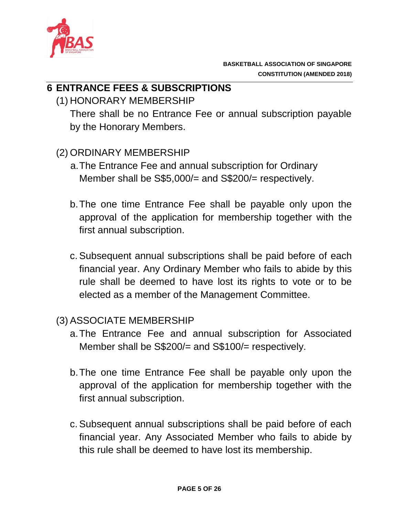

### **6 ENTRANCE FEES & SUBSCRIPTIONS**

(1) HONORARY MEMBERSHIP

There shall be no Entrance Fee or annual subscription payable by the Honorary Members.

- (2) ORDINARY MEMBERSHIP
	- a.The Entrance Fee and annual subscription for Ordinary Member shall be S\$5,000/= and S\$200/= respectively.
	- b.The one time Entrance Fee shall be payable only upon the approval of the application for membership together with the first annual subscription.
	- c. Subsequent annual subscriptions shall be paid before of each financial year. Any Ordinary Member who fails to abide by this rule shall be deemed to have lost its rights to vote or to be elected as a member of the Management Committee.

#### (3) ASSOCIATE MEMBERSHIP

- a.The Entrance Fee and annual subscription for Associated Member shall be S\$200/= and S\$100/= respectively.
- b.The one time Entrance Fee shall be payable only upon the approval of the application for membership together with the first annual subscription.
- c. Subsequent annual subscriptions shall be paid before of each financial year. Any Associated Member who fails to abide by this rule shall be deemed to have lost its membership.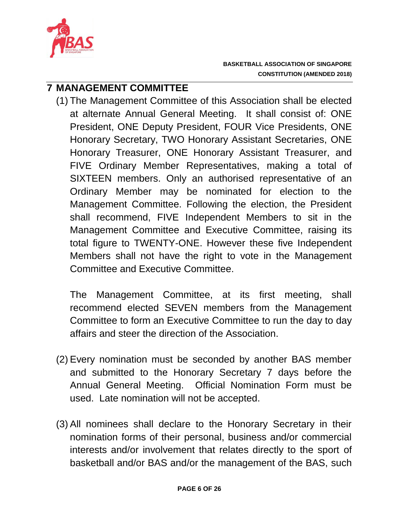

#### **7 MANAGEMENT COMMITTEE**

(1) The Management Committee of this Association shall be elected at alternate Annual General Meeting. It shall consist of: ONE President, ONE Deputy President, FOUR Vice Presidents, ONE Honorary Secretary, TWO Honorary Assistant Secretaries, ONE Honorary Treasurer, ONE Honorary Assistant Treasurer, and FIVE Ordinary Member Representatives, making a total of SIXTEEN members. Only an authorised representative of an Ordinary Member may be nominated for election to the Management Committee. Following the election, the President shall recommend, FIVE Independent Members to sit in the Management Committee and Executive Committee, raising its total figure to TWENTY-ONE. However these five Independent Members shall not have the right to vote in the Management Committee and Executive Committee.

The Management Committee, at its first meeting, shall recommend elected SEVEN members from the Management Committee to form an Executive Committee to run the day to day affairs and steer the direction of the Association.

- (2) Every nomination must be seconded by another BAS member and submitted to the Honorary Secretary 7 days before the Annual General Meeting. Official Nomination Form must be used. Late nomination will not be accepted.
- (3) All nominees shall declare to the Honorary Secretary in their nomination forms of their personal, business and/or commercial interests and/or involvement that relates directly to the sport of basketball and/or BAS and/or the management of the BAS, such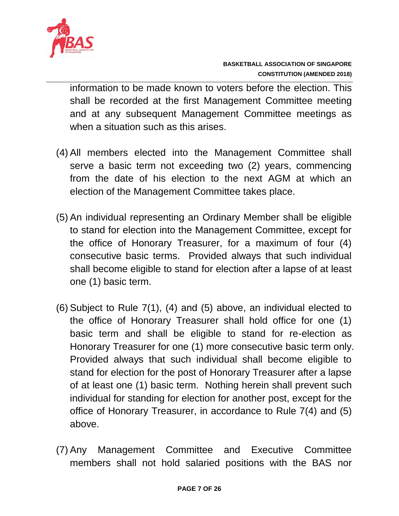

information to be made known to voters before the election. This shall be recorded at the first Management Committee meeting and at any subsequent Management Committee meetings as when a situation such as this arises.

- (4) All members elected into the Management Committee shall serve a basic term not exceeding two (2) years, commencing from the date of his election to the next AGM at which an election of the Management Committee takes place.
- (5) An individual representing an Ordinary Member shall be eligible to stand for election into the Management Committee, except for the office of Honorary Treasurer, for a maximum of four (4) consecutive basic terms. Provided always that such individual shall become eligible to stand for election after a lapse of at least one (1) basic term.
- (6) Subject to Rule 7(1), (4) and (5) above, an individual elected to the office of Honorary Treasurer shall hold office for one (1) basic term and shall be eligible to stand for re-election as Honorary Treasurer for one (1) more consecutive basic term only. Provided always that such individual shall become eligible to stand for election for the post of Honorary Treasurer after a lapse of at least one (1) basic term. Nothing herein shall prevent such individual for standing for election for another post, except for the office of Honorary Treasurer, in accordance to Rule 7(4) and (5) above.
- (7) Any Management Committee and Executive Committee members shall not hold salaried positions with the BAS nor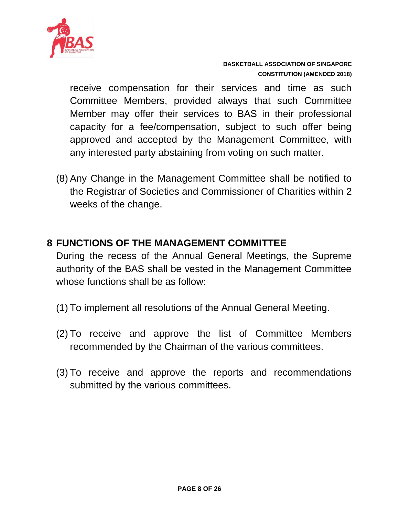

receive compensation for their services and time as such Committee Members, provided always that such Committee Member may offer their services to BAS in their professional capacity for a fee/compensation, subject to such offer being approved and accepted by the Management Committee, with any interested party abstaining from voting on such matter.

(8) Any Change in the Management Committee shall be notified to the Registrar of Societies and Commissioner of Charities within 2 weeks of the change.

#### **8 FUNCTIONS OF THE MANAGEMENT COMMITTEE**

During the recess of the Annual General Meetings, the Supreme authority of the BAS shall be vested in the Management Committee whose functions shall be as follow:

- (1) To implement all resolutions of the Annual General Meeting.
- (2) To receive and approve the list of Committee Members recommended by the Chairman of the various committees.
- (3) To receive and approve the reports and recommendations submitted by the various committees.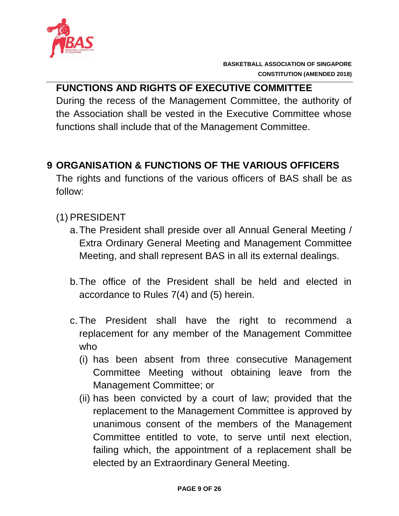

# **FUNCTIONS AND RIGHTS OF EXECUTIVE COMMITTEE**

During the recess of the Management Committee, the authority of the Association shall be vested in the Executive Committee whose functions shall include that of the Management Committee.

# **9 ORGANISATION & FUNCTIONS OF THE VARIOUS OFFICERS**

The rights and functions of the various officers of BAS shall be as follow:

## (1) PRESIDENT

- a.The President shall preside over all Annual General Meeting / Extra Ordinary General Meeting and Management Committee Meeting, and shall represent BAS in all its external dealings.
- b.The office of the President shall be held and elected in accordance to Rules 7(4) and (5) herein.
- c. The President shall have the right to recommend a replacement for any member of the Management Committee who
	- (i) has been absent from three consecutive Management Committee Meeting without obtaining leave from the Management Committee; or
	- (ii) has been convicted by a court of law; provided that the replacement to the Management Committee is approved by unanimous consent of the members of the Management Committee entitled to vote, to serve until next election, failing which, the appointment of a replacement shall be elected by an Extraordinary General Meeting.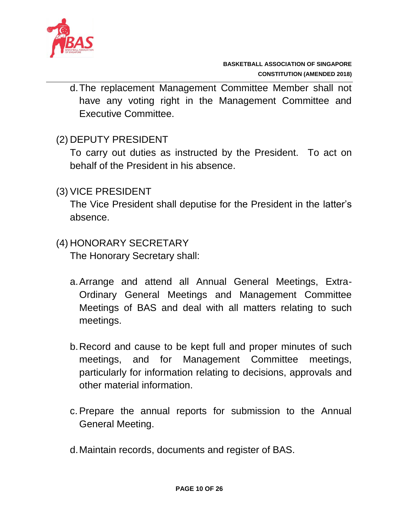

d.The replacement Management Committee Member shall not have any voting right in the Management Committee and Executive Committee.

#### (2) DEPUTY PRESIDENT

To carry out duties as instructed by the President. To act on behalf of the President in his absence.

#### (3) VICE PRESIDENT

The Vice President shall deputise for the President in the latter's absence.

#### (4) HONORARY SECRETARY

The Honorary Secretary shall:

- a.Arrange and attend all Annual General Meetings, Extra-Ordinary General Meetings and Management Committee Meetings of BAS and deal with all matters relating to such meetings.
- b.Record and cause to be kept full and proper minutes of such meetings, and for Management Committee meetings, particularly for information relating to decisions, approvals and other material information.
- c. Prepare the annual reports for submission to the Annual General Meeting.
- d.Maintain records, documents and register of BAS.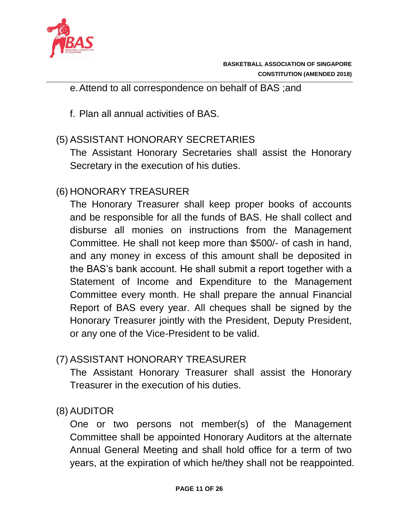

e.Attend to all correspondence on behalf of BAS ;and

f. Plan all annual activities of BAS.

## (5) ASSISTANT HONORARY SECRETARIES

The Assistant Honorary Secretaries shall assist the Honorary Secretary in the execution of his duties.

# (6) HONORARY TREASURER

The Honorary Treasurer shall keep proper books of accounts and be responsible for all the funds of BAS. He shall collect and disburse all monies on instructions from the Management Committee. He shall not keep more than \$500/- of cash in hand, and any money in excess of this amount shall be deposited in the BAS's bank account. He shall submit a report together with a Statement of Income and Expenditure to the Management Committee every month. He shall prepare the annual Financial Report of BAS every year. All cheques shall be signed by the Honorary Treasurer jointly with the President, Deputy President, or any one of the Vice-President to be valid.

# (7) ASSISTANT HONORARY TREASURER

The Assistant Honorary Treasurer shall assist the Honorary Treasurer in the execution of his duties.

## (8) AUDITOR

One or two persons not member(s) of the Management Committee shall be appointed Honorary Auditors at the alternate Annual General Meeting and shall hold office for a term of two years, at the expiration of which he/they shall not be reappointed.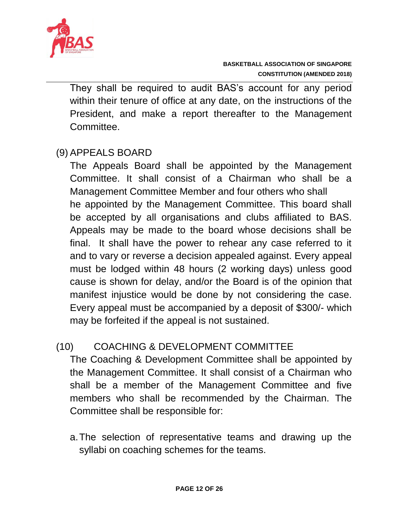

They shall be required to audit BAS's account for any period within their tenure of office at any date, on the instructions of the President, and make a report thereafter to the Management **Committee** 

## (9) APPEALS BOARD

The Appeals Board shall be appointed by the Management Committee. It shall consist of a Chairman who shall be a Management Committee Member and four others who shall he appointed by the Management Committee. This board shall be accepted by all organisations and clubs affiliated to BAS. Appeals may be made to the board whose decisions shall be final. It shall have the power to rehear any case referred to it and to vary or reverse a decision appealed against. Every appeal must be lodged within 48 hours (2 working days) unless good cause is shown for delay, and/or the Board is of the opinion that manifest injustice would be done by not considering the case. Every appeal must be accompanied by a deposit of \$300/- which may be forfeited if the appeal is not sustained.

#### (10) COACHING & DEVELOPMENT COMMITTEE

The Coaching & Development Committee shall be appointed by the Management Committee. It shall consist of a Chairman who shall be a member of the Management Committee and five members who shall be recommended by the Chairman. The Committee shall be responsible for:

a.The selection of representative teams and drawing up the syllabi on coaching schemes for the teams.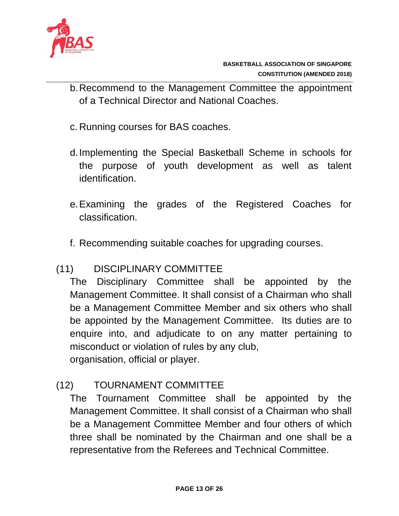

- b.Recommend to the Management Committee the appointment of a Technical Director and National Coaches.
- c. Running courses for BAS coaches.
- d.Implementing the Special Basketball Scheme in schools for the purpose of youth development as well as talent identification.
- e.Examining the grades of the Registered Coaches for classification.
- f. Recommending suitable coaches for upgrading courses.

## (11) DISCIPLINARY COMMITTEE

The Disciplinary Committee shall be appointed by the Management Committee. It shall consist of a Chairman who shall be a Management Committee Member and six others who shall be appointed by the Management Committee. Its duties are to enquire into, and adjudicate to on any matter pertaining to misconduct or violation of rules by any club, organisation, official or player.

## (12) TOURNAMENT COMMITTEE

The Tournament Committee shall be appointed by the Management Committee. It shall consist of a Chairman who shall be a Management Committee Member and four others of which three shall be nominated by the Chairman and one shall be a representative from the Referees and Technical Committee.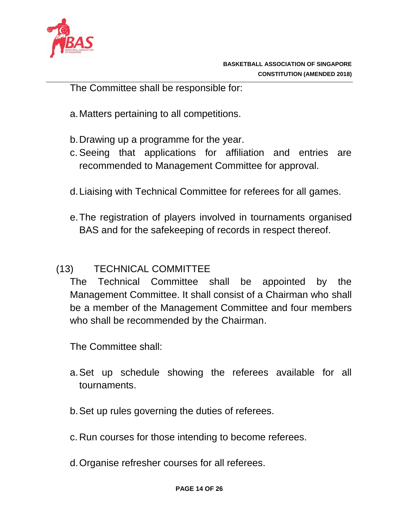

The Committee shall be responsible for:

- a.Matters pertaining to all competitions.
- b.Drawing up a programme for the year.
- c. Seeing that applications for affiliation and entries are recommended to Management Committee for approval.
- d.Liaising with Technical Committee for referees for all games.
- e.The registration of players involved in tournaments organised BAS and for the safekeeping of records in respect thereof.

## (13) TECHNICAL COMMITTEE

The Technical Committee shall be appointed by the Management Committee. It shall consist of a Chairman who shall be a member of the Management Committee and four members who shall be recommended by the Chairman.

The Committee shall:

- a.Set up schedule showing the referees available for all tournaments.
- b.Set up rules governing the duties of referees.
- c. Run courses for those intending to become referees.
- d.Organise refresher courses for all referees.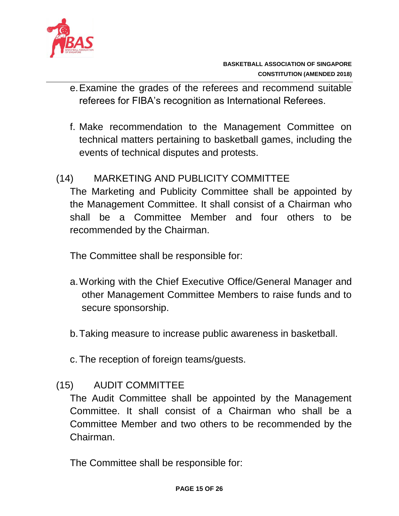

- e.Examine the grades of the referees and recommend suitable referees for FIBA's recognition as International Referees.
- f. Make recommendation to the Management Committee on technical matters pertaining to basketball games, including the events of technical disputes and protests.

### (14) MARKETING AND PUBLICITY COMMITTEE

The Marketing and Publicity Committee shall be appointed by the Management Committee. It shall consist of a Chairman who shall be a Committee Member and four others to be recommended by the Chairman.

The Committee shall be responsible for:

- a.Working with the Chief Executive Office/General Manager and other Management Committee Members to raise funds and to secure sponsorship.
- b.Taking measure to increase public awareness in basketball.
- c. The reception of foreign teams/guests.

## (15) AUDIT COMMITTEE

The Audit Committee shall be appointed by the Management Committee. It shall consist of a Chairman who shall be a Committee Member and two others to be recommended by the Chairman.

The Committee shall be responsible for: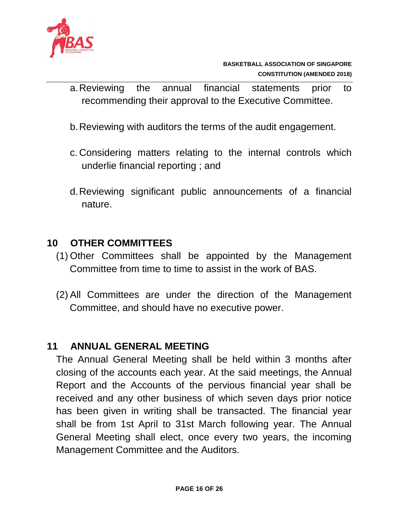

- a.Reviewing the annual financial statements prior to recommending their approval to the Executive Committee.
- b.Reviewing with auditors the terms of the audit engagement.
- c. Considering matters relating to the internal controls which underlie financial reporting ; and
- d.Reviewing significant public announcements of a financial nature.

#### **10 OTHER COMMITTEES**

- (1) Other Committees shall be appointed by the Management Committee from time to time to assist in the work of BAS.
- (2) All Committees are under the direction of the Management Committee, and should have no executive power.

#### **11 ANNUAL GENERAL MEETING**

The Annual General Meeting shall be held within 3 months after closing of the accounts each year. At the said meetings, the Annual Report and the Accounts of the pervious financial year shall be received and any other business of which seven days prior notice has been given in writing shall be transacted. The financial year shall be from 1st April to 31st March following year. The Annual General Meeting shall elect, once every two years, the incoming Management Committee and the Auditors.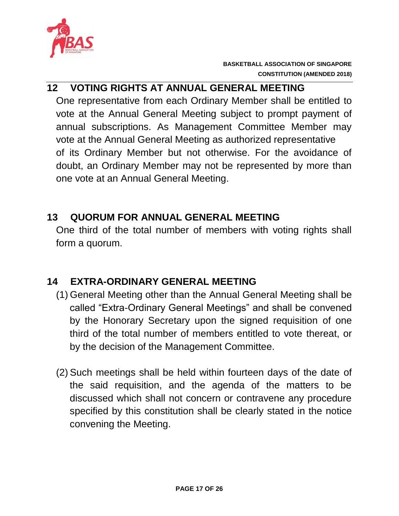

## **12 VOTING RIGHTS AT ANNUAL GENERAL MEETING**

One representative from each Ordinary Member shall be entitled to vote at the Annual General Meeting subject to prompt payment of annual subscriptions. As Management Committee Member may vote at the Annual General Meeting as authorized representative of its Ordinary Member but not otherwise. For the avoidance of doubt, an Ordinary Member may not be represented by more than one vote at an Annual General Meeting.

### **13 QUORUM FOR ANNUAL GENERAL MEETING**

One third of the total number of members with voting rights shall form a quorum.

## **14 EXTRA-ORDINARY GENERAL MEETING**

- (1) General Meeting other than the Annual General Meeting shall be called "Extra-Ordinary General Meetings" and shall be convened by the Honorary Secretary upon the signed requisition of one third of the total number of members entitled to vote thereat, or by the decision of the Management Committee.
- (2) Such meetings shall be held within fourteen days of the date of the said requisition, and the agenda of the matters to be discussed which shall not concern or contravene any procedure specified by this constitution shall be clearly stated in the notice convening the Meeting.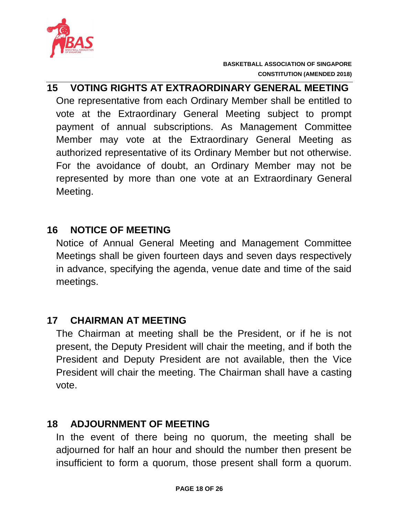

# **15 VOTING RIGHTS AT EXTRAORDINARY GENERAL MEETING** One representative from each Ordinary Member shall be entitled to vote at the Extraordinary General Meeting subject to prompt payment of annual subscriptions. As Management Committee Member may vote at the Extraordinary General Meeting as authorized representative of its Ordinary Member but not otherwise. For the avoidance of doubt, an Ordinary Member may not be represented by more than one vote at an Extraordinary General Meeting.

### **16 NOTICE OF MEETING**

Notice of Annual General Meeting and Management Committee Meetings shall be given fourteen days and seven days respectively in advance, specifying the agenda, venue date and time of the said meetings.

#### **17 CHAIRMAN AT MEETING**

The Chairman at meeting shall be the President, or if he is not present, the Deputy President will chair the meeting, and if both the President and Deputy President are not available, then the Vice President will chair the meeting. The Chairman shall have a casting vote.

#### **18 ADJOURNMENT OF MEETING**

In the event of there being no quorum, the meeting shall be adjourned for half an hour and should the number then present be insufficient to form a quorum, those present shall form a quorum.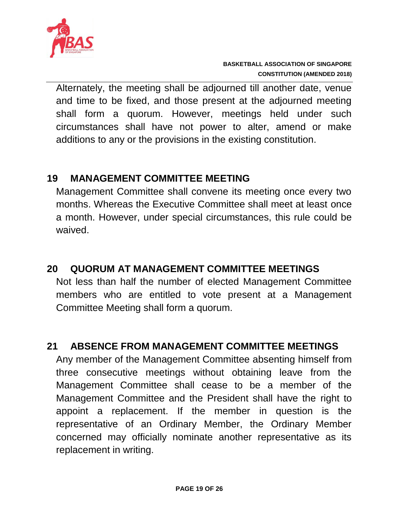

Alternately, the meeting shall be adjourned till another date, venue and time to be fixed, and those present at the adjourned meeting shall form a quorum. However, meetings held under such circumstances shall have not power to alter, amend or make additions to any or the provisions in the existing constitution.

### **19 MANAGEMENT COMMITTEE MEETING**

Management Committee shall convene its meeting once every two months. Whereas the Executive Committee shall meet at least once a month. However, under special circumstances, this rule could be waived.

## **20 QUORUM AT MANAGEMENT COMMITTEE MEETINGS**

Not less than half the number of elected Management Committee members who are entitled to vote present at a Management Committee Meeting shall form a quorum.

## **21 ABSENCE FROM MANAGEMENT COMMITTEE MEETINGS**

Any member of the Management Committee absenting himself from three consecutive meetings without obtaining leave from the Management Committee shall cease to be a member of the Management Committee and the President shall have the right to appoint a replacement. If the member in question is the representative of an Ordinary Member, the Ordinary Member concerned may officially nominate another representative as its replacement in writing.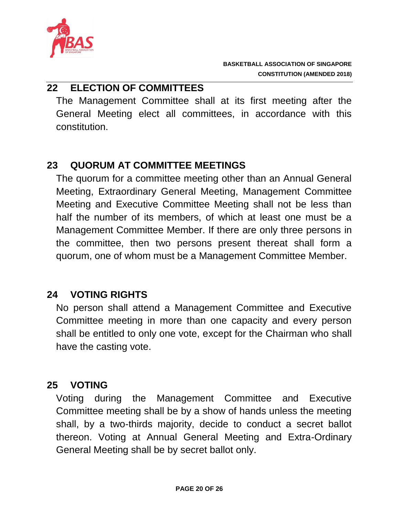

### **22 ELECTION OF COMMITTEES**

The Management Committee shall at its first meeting after the General Meeting elect all committees, in accordance with this constitution.

## **23 QUORUM AT COMMITTEE MEETINGS**

The quorum for a committee meeting other than an Annual General Meeting, Extraordinary General Meeting, Management Committee Meeting and Executive Committee Meeting shall not be less than half the number of its members, of which at least one must be a Management Committee Member. If there are only three persons in the committee, then two persons present thereat shall form a quorum, one of whom must be a Management Committee Member.

#### **24 VOTING RIGHTS**

No person shall attend a Management Committee and Executive Committee meeting in more than one capacity and every person shall be entitled to only one vote, except for the Chairman who shall have the casting vote.

#### **25 VOTING**

Voting during the Management Committee and Executive Committee meeting shall be by a show of hands unless the meeting shall, by a two-thirds majority, decide to conduct a secret ballot thereon. Voting at Annual General Meeting and Extra-Ordinary General Meeting shall be by secret ballot only.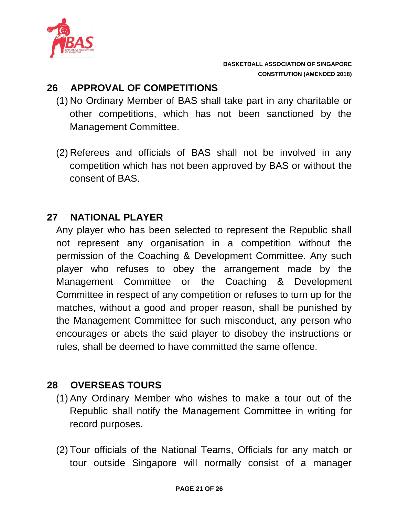

### **26 APPROVAL OF COMPETITIONS**

- (1) No Ordinary Member of BAS shall take part in any charitable or other competitions, which has not been sanctioned by the Management Committee.
- (2) Referees and officials of BAS shall not be involved in any competition which has not been approved by BAS or without the consent of BAS.

## **27 NATIONAL PLAYER**

Any player who has been selected to represent the Republic shall not represent any organisation in a competition without the permission of the Coaching & Development Committee. Any such player who refuses to obey the arrangement made by the Management Committee or the Coaching & Development Committee in respect of any competition or refuses to turn up for the matches, without a good and proper reason, shall be punished by the Management Committee for such misconduct, any person who encourages or abets the said player to disobey the instructions or rules, shall be deemed to have committed the same offence.

## **28 OVERSEAS TOURS**

- (1) Any Ordinary Member who wishes to make a tour out of the Republic shall notify the Management Committee in writing for record purposes.
- (2) Tour officials of the National Teams, Officials for any match or tour outside Singapore will normally consist of a manager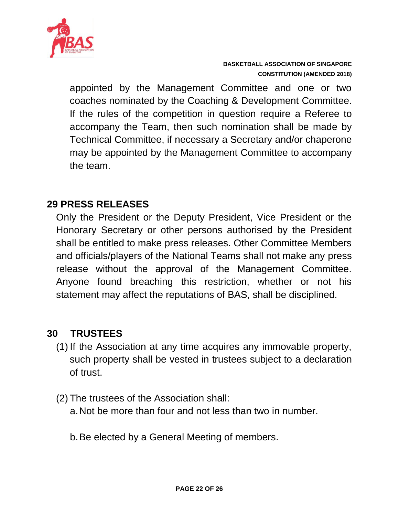

appointed by the Management Committee and one or two coaches nominated by the Coaching & Development Committee. If the rules of the competition in question require a Referee to accompany the Team, then such nomination shall be made by Technical Committee, if necessary a Secretary and/or chaperone may be appointed by the Management Committee to accompany the team.

### **29 PRESS RELEASES**

Only the President or the Deputy President, Vice President or the Honorary Secretary or other persons authorised by the President shall be entitled to make press releases. Other Committee Members and officials/players of the National Teams shall not make any press release without the approval of the Management Committee. Anyone found breaching this restriction, whether or not his statement may affect the reputations of BAS, shall be disciplined.

#### **30 TRUSTEES**

- (1) If the Association at any time acquires any immovable property, such property shall be vested in trustees subject to a declaration of trust.
- (2) The trustees of the Association shall: a.Not be more than four and not less than two in number.
	- b.Be elected by a General Meeting of members.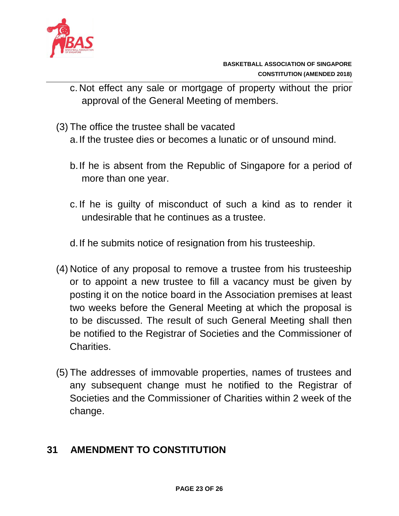

- c. Not effect any sale or mortgage of property without the prior approval of the General Meeting of members.
- (3) The office the trustee shall be vacated

a.If the trustee dies or becomes a lunatic or of unsound mind.

- b.If he is absent from the Republic of Singapore for a period of more than one year.
- c. If he is guilty of misconduct of such a kind as to render it undesirable that he continues as a trustee.
- d.If he submits notice of resignation from his trusteeship.
- (4) Notice of any proposal to remove a trustee from his trusteeship or to appoint a new trustee to fill a vacancy must be given by posting it on the notice board in the Association premises at least two weeks before the General Meeting at which the proposal is to be discussed. The result of such General Meeting shall then be notified to the Registrar of Societies and the Commissioner of Charities.
- (5) The addresses of immovable properties, names of trustees and any subsequent change must he notified to the Registrar of Societies and the Commissioner of Charities within 2 week of the change.

# **31 AMENDMENT TO CONSTITUTION**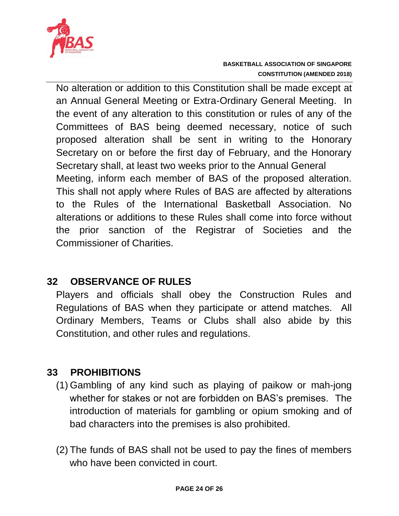

No alteration or addition to this Constitution shall be made except at an Annual General Meeting or Extra-Ordinary General Meeting. In the event of any alteration to this constitution or rules of any of the Committees of BAS being deemed necessary, notice of such proposed alteration shall be sent in writing to the Honorary Secretary on or before the first day of February, and the Honorary Secretary shall, at least two weeks prior to the Annual General Meeting, inform each member of BAS of the proposed alteration. This shall not apply where Rules of BAS are affected by alterations to the Rules of the International Basketball Association. No alterations or additions to these Rules shall come into force without the prior sanction of the Registrar of Societies and the Commissioner of Charities.

## **32 OBSERVANCE OF RULES**

Players and officials shall obey the Construction Rules and Regulations of BAS when they participate or attend matches. All Ordinary Members, Teams or Clubs shall also abide by this Constitution, and other rules and regulations.

# **33 PROHIBITIONS**

- (1) Gambling of any kind such as playing of paikow or mah-jong whether for stakes or not are forbidden on BAS's premises. The introduction of materials for gambling or opium smoking and of bad characters into the premises is also prohibited.
- (2) The funds of BAS shall not be used to pay the fines of members who have been convicted in court.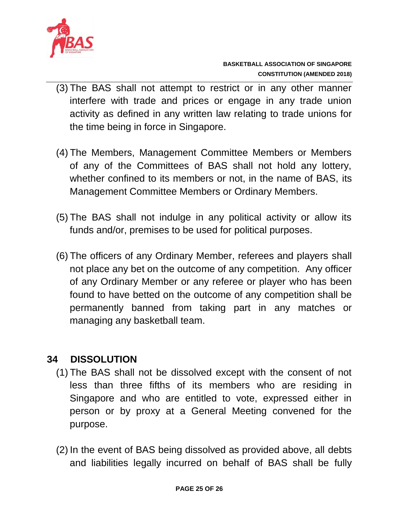

- (3) The BAS shall not attempt to restrict or in any other manner interfere with trade and prices or engage in any trade union activity as defined in any written law relating to trade unions for the time being in force in Singapore.
- (4) The Members, Management Committee Members or Members of any of the Committees of BAS shall not hold any lottery, whether confined to its members or not, in the name of BAS, its Management Committee Members or Ordinary Members.
- (5) The BAS shall not indulge in any political activity or allow its funds and/or, premises to be used for political purposes.
- (6) The officers of any Ordinary Member, referees and players shall not place any bet on the outcome of any competition. Any officer of any Ordinary Member or any referee or player who has been found to have betted on the outcome of any competition shall be permanently banned from taking part in any matches or managing any basketball team.

# **34 DISSOLUTION**

- (1) The BAS shall not be dissolved except with the consent of not less than three fifths of its members who are residing in Singapore and who are entitled to vote, expressed either in person or by proxy at a General Meeting convened for the purpose.
- (2) In the event of BAS being dissolved as provided above, all debts and liabilities legally incurred on behalf of BAS shall be fully